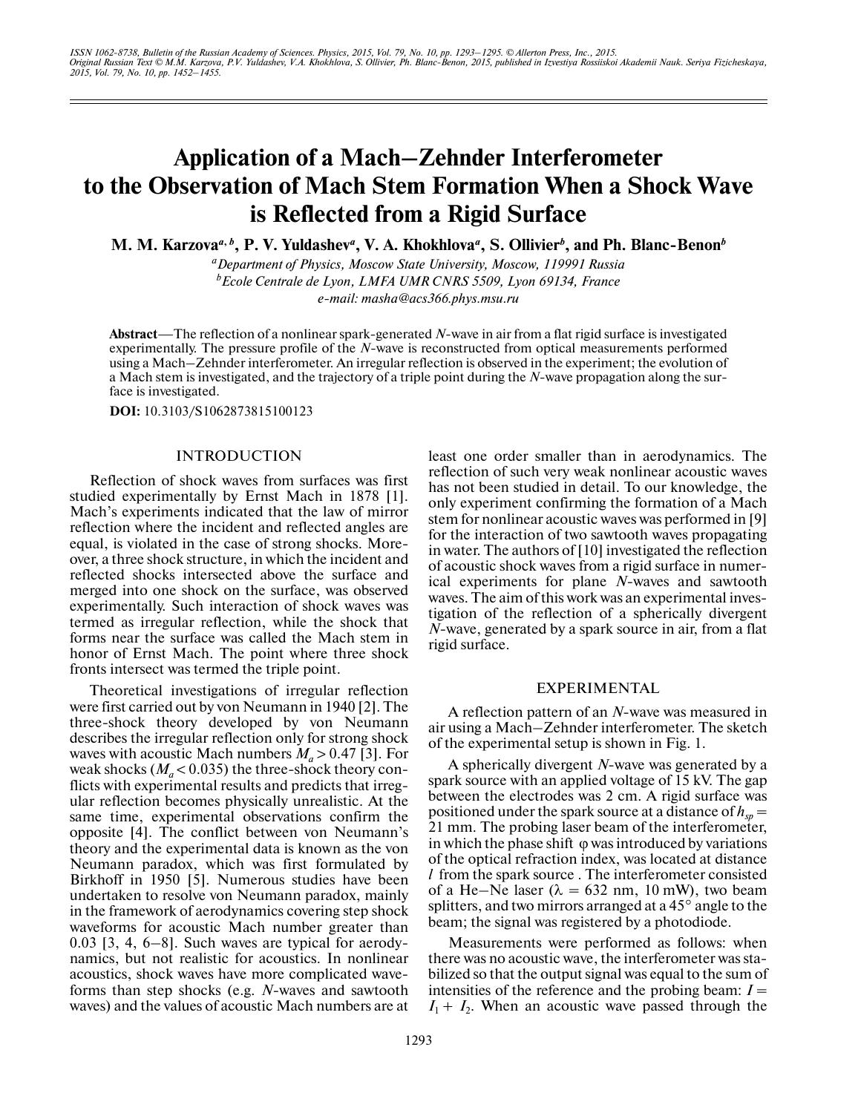# **Application of a Mach–Zehnder Interferometer to the Observation of Mach Stem Formation When a Shock Wave is Reflected from a Rigid Surface**

**M. M. Karzova***<sup>a</sup>***,** *<sup>b</sup>* **, P. V. Yuldashev***<sup>a</sup>* **, V. A. Khokhlova***<sup>a</sup>* **, S. Ollivier***<sup>b</sup>* **, and Ph. Blanc-Benon***<sup>b</sup>*

*a Department of Physics, Moscow State University, Moscow, 119991 Russia b Ecole Centrale de Lyon, LMFA UMR CNRS 5509, Lyon 69134, France e-mail: masha@acs366.phys.msu.ru*

**Abstract**—The reflection of a nonlinear spark-generated *N*-wave in air from a flat rigid surface is investigated experimentally. The pressure profile of the *N-*wave is reconstructed from optical measurements performed using a Mach–Zehnder interferometer. An irregular reflection is observed in the experiment; the evolution of a Mach stem is investigated, and the trajectory of a triple point during the *N*-wave propagation along the sur face is investigated.

**DOI:** 10.3103/S1062873815100123

### INTRODUCTION

Reflection of shock waves from surfaces was first studied experimentally by Ernst Mach in 1878 [1]. Mach's experiments indicated that the law of mirror reflection where the incident and reflected angles are equal, is violated in the case of strong shocks. More over, a three shock structure, in which the incident and reflected shocks intersected above the surface and merged into one shock on the surface, was observed experimentally. Such interaction of shock waves was termed as irregular reflection, while the shock that forms near the surface was called the Mach stem in honor of Ernst Mach. The point where three shock fronts intersect was termed the triple point.

Theoretical investigations of irregular reflection were first carried out by von Neumann in 1940 [2]. The three-shock theory developed by von Neumann describes the irregular reflection only for strong shock waves with acoustic Mach numbers  $M_a > 0.47$  [3]. For weak shocks  $(M_a < 0.035)$  the three-shock theory conflicts with experimental results and predicts that irreg ular reflection becomes physically unrealistic. At the same time, experimental observations confirm the opposite [4]. The conflict between von Neumann's theory and the experimental data is known as the von Neumann paradox, which was first formulated by Birkhoff in 1950 [5]. Numerous studies have been undertaken to resolve von Neumann paradox, mainly in the framework of aerodynamics covering step shock waveforms for acoustic Mach number greater than 0.03 [3, 4, 6–8]. Such waves are typical for aerody namics, but not realistic for acoustics. In nonlinear acoustics, shock waves have more complicated wave forms than step shocks (e.g. *N*-waves and sawtooth waves) and the values of acoustic Mach numbers are at only experiment confirming the formation of a Mach stem for nonlinear acoustic waves was performed in [9] for the interaction of two sawtooth waves propagating in water. The authors of [10] investigated the reflection of acoustic shock waves from a rigid surface in numer ical experiments for plane *N*-waves and sawtooth waves. The aim of this work was an experimental inves tigation of the reflection of a spherically divergent *N*-wave, generated by a spark source in air, from a flat rigid surface. EXPERIMENTAL

least one order smaller than in aerodynamics. The reflection of such very weak nonlinear acoustic waves has not been studied in detail. To our knowledge, the

A reflection pattern of an *N*-wave was measured in air using a Mach–Zehnder interferometer. The sketch of the experimental setup is shown in Fig. 1.

A spherically divergent *N*-wave was generated by a spark source with an applied voltage of 15 kV. The gap between the electrodes was 2 cm. A rigid surface was positioned under the spark source at a distance of  $h_{sp} =$ 21 mm. The probing laser beam of the interferometer, in which the phase shift  $\varphi$  was introduced by variations of the optical refraction index, was located at distance *l* from the spark source . The interferometer consisted of a He–Ne laser ( $\lambda = 632$  nm, 10 mW), two beam splitters, and two mirrors arranged at a 45° angle to the beam; the signal was registered by a photodiode.

Measurements were performed as follows: when there was no acoustic wave, the interferometer was sta bilized so that the output signal was equal to the sum of intensities of the reference and the probing beam:  $I =$  $I_1 + I_2$ . When an acoustic wave passed through the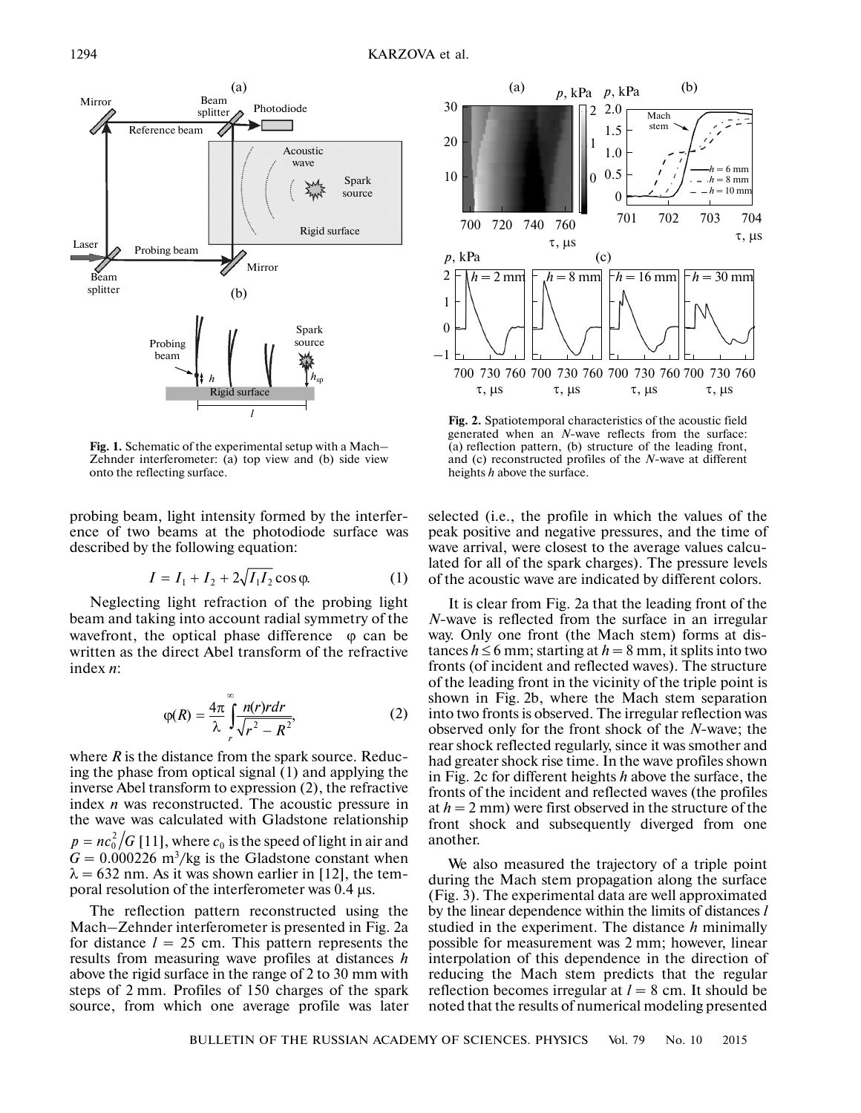

**Fig. 1.** Schematic of the experimental setup with a Mach– Zehnder interferometer: (a) top view and (b) side view onto the reflecting surface.

probing beam, light intensity formed by the interfer ence of two beams at the photodiode surface was described by the following equation:

$$
I = I_1 + I_2 + 2\sqrt{I_1 I_2} \cos \varphi.
$$
 (1)

Neglecting light refraction of the probing light beam and taking into account radial symmetry of the wavefront, the optical phase difference  $\varphi$  can be written as the direct Abel transform of the refractive index *n*:

$$
\varphi(R) = \frac{4\pi}{\lambda} \int_{r}^{\infty} \frac{n(r)rdr}{\sqrt{r^2 - R^2}},
$$
\n(2)

where *R* is the distance from the spark source. Reduc ing the phase from optical signal (1) and applying the inverse Abel transform to expression (2), the refractive index *n* was reconstructed. The acoustic pressure in the wave was calculated with Gladstone relationship  $p = nc_0^2 / G$  [11], where  $c_0$  is the speed of light in air and  $G = 0.000226$  m<sup>3</sup>/kg is the Gladstone constant when  $\lambda = 632$  nm. As it was shown earlier in [12], the temporal resolution of the interferometer was 0.4 μs.

The reflection pattern reconstructed using the Mach–Zehnder interferometer is presented in Fig. 2a for distance  $l = 25$  cm. This pattern represents the results from measuring wave profiles at distances *h* above the rigid surface in the range of 2 to 30 mm with steps of 2 mm. Profiles of 150 charges of the spark source, from which one average profile was later



**Fig. 2.** Spatiotemporal characteristics of the acoustic field generated when an *N*-wave reflects from the surface: (a) reflection pattern, (b) structure of the leading front, and (c) reconstructed profiles of the *N*-wave at different heights *h* above the surface.

selected (i.e., the profile in which the values of the peak positive and negative pressures, and the time of wave arrival, were closest to the average values calcu lated for all of the spark charges). The pressure levels of the acoustic wave are indicated by different colors.

It is clear from Fig. 2a that the leading front of the *N*-wave is reflected from the surface in an irregular way. Only one front (the Mach stem) forms at dis tances  $h \le 6$  mm; starting at  $h = 8$  mm, it splits into two fronts (of incident and reflected waves). The structure of the leading front in the vicinity of the triple point is shown in Fig. 2b, where the Mach stem separation into two fronts is observed. The irregular reflection was observed only for the front shock of the *N*-wave; the rear shock reflected regularly, since it was smother and had greater shock rise time. In the wave profiles shown in Fig. 2c for different heights *h* above the surface, the fronts of the incident and reflected waves (the profiles at  $h = 2$  mm) were first observed in the structure of the front shock and subsequently diverged from one another.

We also measured the trajectory of a triple point during the Mach stem propagation along the surface (Fig. 3). The experimental data are well approximated by the linear dependence within the limits of distances *l* studied in the experiment. The distance *h* minimally possible for measurement was 2 mm; however, linear interpolation of this dependence in the direction of reducing the Mach stem predicts that the regular reflection becomes irregular at  $l = 8$  cm. It should be noted that the results of numerical modeling presented